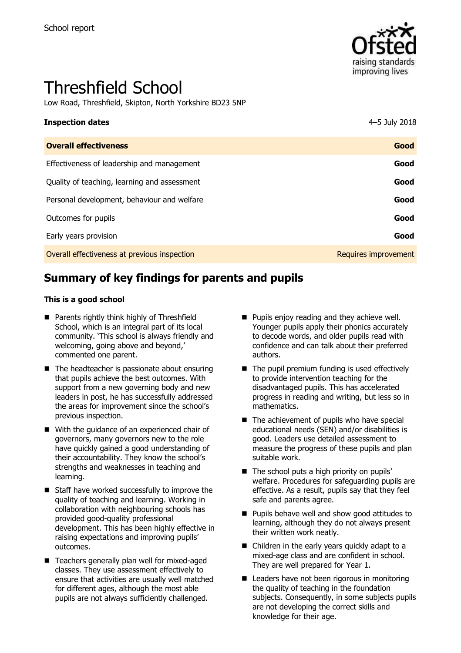

# Threshfield School

Low Road, Threshfield, Skipton, North Yorkshire BD23 5NP

#### **Inspection dates** 4–5 July 2018

| <b>Overall effectiveness</b>                 | Good                 |
|----------------------------------------------|----------------------|
| Effectiveness of leadership and management   | Good                 |
| Quality of teaching, learning and assessment | Good                 |
| Personal development, behaviour and welfare  | Good                 |
| Outcomes for pupils                          | Good                 |
| Early years provision                        | Good                 |
| Overall effectiveness at previous inspection | Requires improvement |
|                                              |                      |

# **Summary of key findings for parents and pupils**

#### **This is a good school**

- **Parents rightly think highly of Threshfield** School, which is an integral part of its local community. 'This school is always friendly and welcoming, going above and beyond,' commented one parent.
- $\blacksquare$  The headteacher is passionate about ensuring that pupils achieve the best outcomes. With support from a new governing body and new leaders in post, he has successfully addressed the areas for improvement since the school's previous inspection.
- With the guidance of an experienced chair of governors, many governors new to the role have quickly gained a good understanding of their accountability. They know the school's strengths and weaknesses in teaching and learning.
- Staff have worked successfully to improve the quality of teaching and learning. Working in collaboration with neighbouring schools has provided good-quality professional development. This has been highly effective in raising expectations and improving pupils' outcomes.
- Teachers generally plan well for mixed-aged classes. They use assessment effectively to ensure that activities are usually well matched for different ages, although the most able pupils are not always sufficiently challenged.
- **Pupils enjoy reading and they achieve well.** Younger pupils apply their phonics accurately to decode words, and older pupils read with confidence and can talk about their preferred authors.
- $\blacksquare$  The pupil premium funding is used effectively to provide intervention teaching for the disadvantaged pupils. This has accelerated progress in reading and writing, but less so in mathematics.
- $\blacksquare$  The achievement of pupils who have special educational needs (SEN) and/or disabilities is good. Leaders use detailed assessment to measure the progress of these pupils and plan suitable work.
- The school puts a high priority on pupils' welfare. Procedures for safeguarding pupils are effective. As a result, pupils say that they feel safe and parents agree.
- **Pupils behave well and show good attitudes to** learning, although they do not always present their written work neatly.
- Children in the early years quickly adapt to a mixed-age class and are confident in school. They are well prepared for Year 1.
- Leaders have not been rigorous in monitoring the quality of teaching in the foundation subjects. Consequently, in some subjects pupils are not developing the correct skills and knowledge for their age.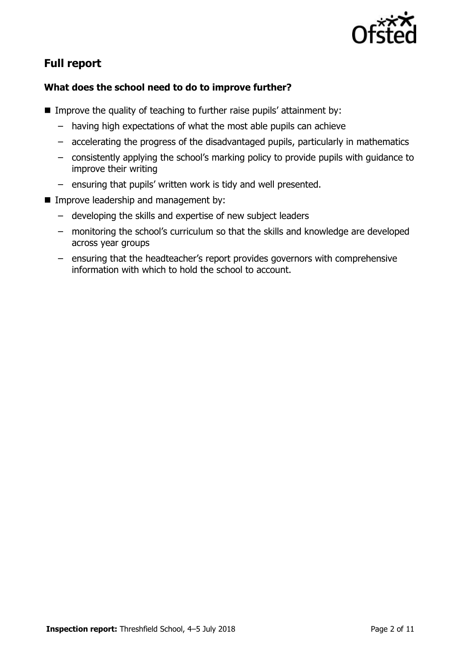

# **Full report**

## **What does the school need to do to improve further?**

- Improve the quality of teaching to further raise pupils' attainment by:
	- having high expectations of what the most able pupils can achieve
	- accelerating the progress of the disadvantaged pupils, particularly in mathematics
	- consistently applying the school's marking policy to provide pupils with guidance to improve their writing
	- ensuring that pupils' written work is tidy and well presented.
- **IMPROVE leadership and management by:** 
	- developing the skills and expertise of new subject leaders
	- monitoring the school's curriculum so that the skills and knowledge are developed across year groups
	- ensuring that the headteacher's report provides governors with comprehensive information with which to hold the school to account.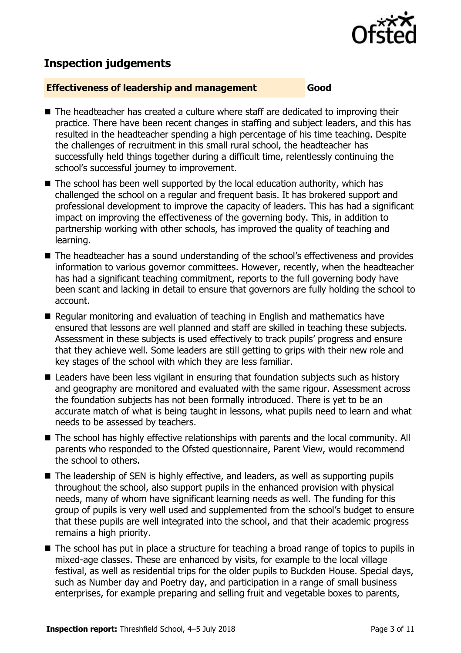

## **Inspection judgements**

#### **Effectiveness of leadership and management Good**

- The headteacher has created a culture where staff are dedicated to improving their practice. There have been recent changes in staffing and subject leaders, and this has resulted in the headteacher spending a high percentage of his time teaching. Despite the challenges of recruitment in this small rural school, the headteacher has successfully held things together during a difficult time, relentlessly continuing the school's successful journey to improvement.
- $\blacksquare$  The school has been well supported by the local education authority, which has challenged the school on a regular and frequent basis. It has brokered support and professional development to improve the capacity of leaders. This has had a significant impact on improving the effectiveness of the governing body. This, in addition to partnership working with other schools, has improved the quality of teaching and learning.
- The headteacher has a sound understanding of the school's effectiveness and provides information to various governor committees. However, recently, when the headteacher has had a significant teaching commitment, reports to the full governing body have been scant and lacking in detail to ensure that governors are fully holding the school to account.
- Regular monitoring and evaluation of teaching in English and mathematics have ensured that lessons are well planned and staff are skilled in teaching these subjects. Assessment in these subjects is used effectively to track pupils' progress and ensure that they achieve well. Some leaders are still getting to grips with their new role and key stages of the school with which they are less familiar.
- Leaders have been less vigilant in ensuring that foundation subjects such as history and geography are monitored and evaluated with the same rigour. Assessment across the foundation subjects has not been formally introduced. There is yet to be an accurate match of what is being taught in lessons, what pupils need to learn and what needs to be assessed by teachers.
- The school has highly effective relationships with parents and the local community. All parents who responded to the Ofsted questionnaire, Parent View, would recommend the school to others.
- The leadership of SEN is highly effective, and leaders, as well as supporting pupils throughout the school, also support pupils in the enhanced provision with physical needs, many of whom have significant learning needs as well. The funding for this group of pupils is very well used and supplemented from the school's budget to ensure that these pupils are well integrated into the school, and that their academic progress remains a high priority.
- The school has put in place a structure for teaching a broad range of topics to pupils in mixed-age classes. These are enhanced by visits, for example to the local village festival, as well as residential trips for the older pupils to Buckden House. Special days, such as Number day and Poetry day, and participation in a range of small business enterprises, for example preparing and selling fruit and vegetable boxes to parents,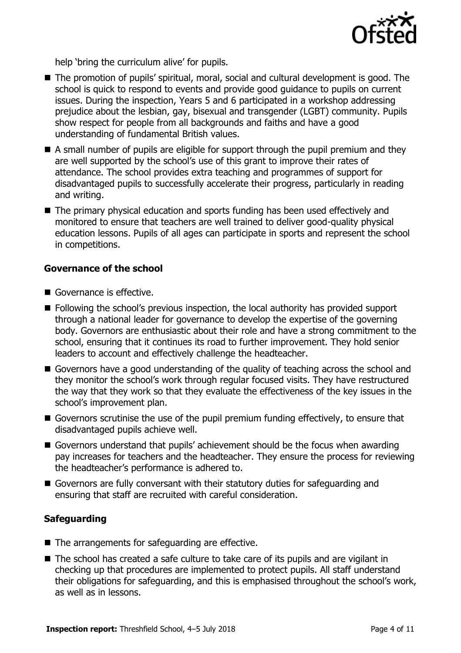

help 'bring the curriculum alive' for pupils.

- The promotion of pupils' spiritual, moral, social and cultural development is good. The school is quick to respond to events and provide good guidance to pupils on current issues. During the inspection, Years 5 and 6 participated in a workshop addressing prejudice about the lesbian, gay, bisexual and transgender (LGBT) community. Pupils show respect for people from all backgrounds and faiths and have a good understanding of fundamental British values.
- A small number of pupils are eligible for support through the pupil premium and they are well supported by the school's use of this grant to improve their rates of attendance. The school provides extra teaching and programmes of support for disadvantaged pupils to successfully accelerate their progress, particularly in reading and writing.
- The primary physical education and sports funding has been used effectively and monitored to ensure that teachers are well trained to deliver good-quality physical education lessons. Pupils of all ages can participate in sports and represent the school in competitions.

### **Governance of the school**

- Governance is effective.
- Following the school's previous inspection, the local authority has provided support through a national leader for governance to develop the expertise of the governing body. Governors are enthusiastic about their role and have a strong commitment to the school, ensuring that it continues its road to further improvement. They hold senior leaders to account and effectively challenge the headteacher.
- Governors have a good understanding of the quality of teaching across the school and they monitor the school's work through regular focused visits. They have restructured the way that they work so that they evaluate the effectiveness of the key issues in the school's improvement plan.
- Governors scrutinise the use of the pupil premium funding effectively, to ensure that disadvantaged pupils achieve well.
- Governors understand that pupils' achievement should be the focus when awarding pay increases for teachers and the headteacher. They ensure the process for reviewing the headteacher's performance is adhered to.
- Governors are fully conversant with their statutory duties for safeguarding and ensuring that staff are recruited with careful consideration.

## **Safeguarding**

- $\blacksquare$  The arrangements for safeguarding are effective.
- The school has created a safe culture to take care of its pupils and are vigilant in checking up that procedures are implemented to protect pupils. All staff understand their obligations for safeguarding, and this is emphasised throughout the school's work, as well as in lessons.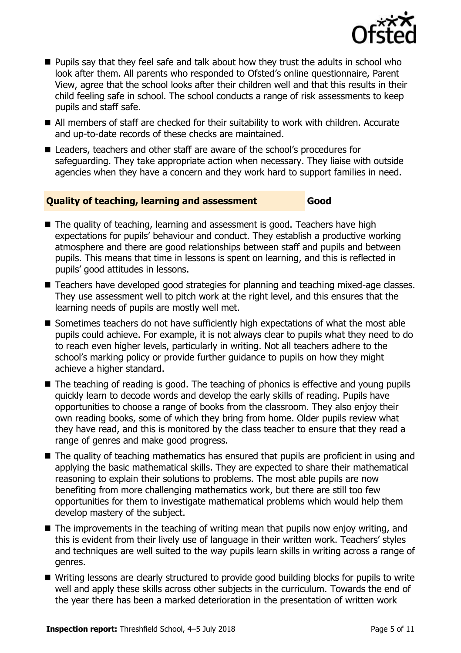

- **Pupils say that they feel safe and talk about how they trust the adults in school who** look after them. All parents who responded to Ofsted's online questionnaire, Parent View, agree that the school looks after their children well and that this results in their child feeling safe in school. The school conducts a range of risk assessments to keep pupils and staff safe.
- All members of staff are checked for their suitability to work with children. Accurate and up-to-date records of these checks are maintained.
- Leaders, teachers and other staff are aware of the school's procedures for safeguarding. They take appropriate action when necessary. They liaise with outside agencies when they have a concern and they work hard to support families in need.

## **Quality of teaching, learning and assessment Good**

- The quality of teaching, learning and assessment is good. Teachers have high expectations for pupils' behaviour and conduct. They establish a productive working atmosphere and there are good relationships between staff and pupils and between pupils. This means that time in lessons is spent on learning, and this is reflected in pupils' good attitudes in lessons.
- Teachers have developed good strategies for planning and teaching mixed-age classes. They use assessment well to pitch work at the right level, and this ensures that the learning needs of pupils are mostly well met.
- Sometimes teachers do not have sufficiently high expectations of what the most able pupils could achieve. For example, it is not always clear to pupils what they need to do to reach even higher levels, particularly in writing. Not all teachers adhere to the school's marking policy or provide further guidance to pupils on how they might achieve a higher standard.
- The teaching of reading is good. The teaching of phonics is effective and young pupils quickly learn to decode words and develop the early skills of reading. Pupils have opportunities to choose a range of books from the classroom. They also enjoy their own reading books, some of which they bring from home. Older pupils review what they have read, and this is monitored by the class teacher to ensure that they read a range of genres and make good progress.
- The quality of teaching mathematics has ensured that pupils are proficient in using and applying the basic mathematical skills. They are expected to share their mathematical reasoning to explain their solutions to problems. The most able pupils are now benefiting from more challenging mathematics work, but there are still too few opportunities for them to investigate mathematical problems which would help them develop mastery of the subject.
- $\blacksquare$  The improvements in the teaching of writing mean that pupils now enjoy writing, and this is evident from their lively use of language in their written work. Teachers' styles and techniques are well suited to the way pupils learn skills in writing across a range of genres.
- Writing lessons are clearly structured to provide good building blocks for pupils to write well and apply these skills across other subjects in the curriculum. Towards the end of the year there has been a marked deterioration in the presentation of written work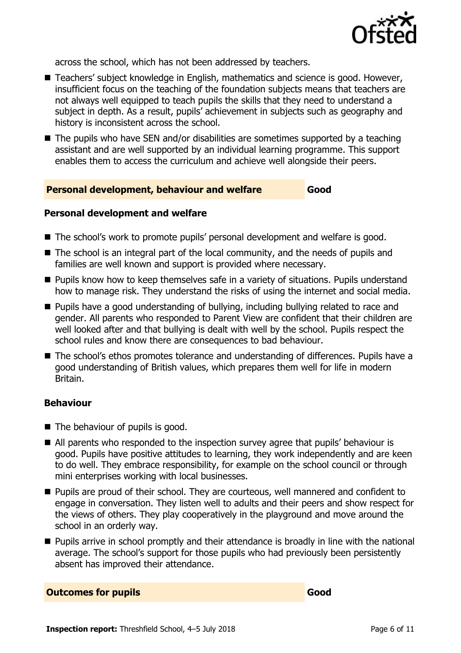

across the school, which has not been addressed by teachers.

- Teachers' subject knowledge in English, mathematics and science is good. However, insufficient focus on the teaching of the foundation subjects means that teachers are not always well equipped to teach pupils the skills that they need to understand a subject in depth. As a result, pupils' achievement in subjects such as geography and history is inconsistent across the school.
- The pupils who have SEN and/or disabilities are sometimes supported by a teaching assistant and are well supported by an individual learning programme. This support enables them to access the curriculum and achieve well alongside their peers.

#### **Personal development, behaviour and welfare Good**

#### **Personal development and welfare**

- The school's work to promote pupils' personal development and welfare is good.
- The school is an integral part of the local community, and the needs of pupils and families are well known and support is provided where necessary.
- **Pupils know how to keep themselves safe in a variety of situations. Pupils understand** how to manage risk. They understand the risks of using the internet and social media.
- **Pupils have a good understanding of bullying, including bullying related to race and** gender. All parents who responded to Parent View are confident that their children are well looked after and that bullying is dealt with well by the school. Pupils respect the school rules and know there are consequences to bad behaviour.
- The school's ethos promotes tolerance and understanding of differences. Pupils have a good understanding of British values, which prepares them well for life in modern Britain.

#### **Behaviour**

- The behaviour of pupils is good.
- All parents who responded to the inspection survey agree that pupils' behaviour is good. Pupils have positive attitudes to learning, they work independently and are keen to do well. They embrace responsibility, for example on the school council or through mini enterprises working with local businesses.
- **Pupils are proud of their school. They are courteous, well mannered and confident to** engage in conversation. They listen well to adults and their peers and show respect for the views of others. They play cooperatively in the playground and move around the school in an orderly way.
- **Pupils arrive in school promptly and their attendance is broadly in line with the national** average. The school's support for those pupils who had previously been persistently absent has improved their attendance.

#### **Outcomes for pupils Good**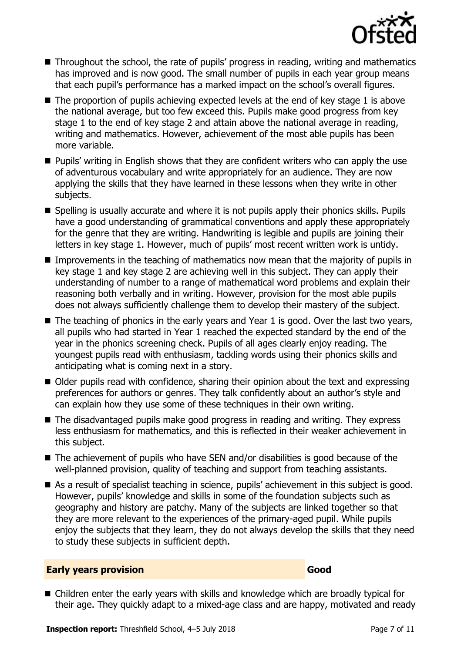

- Throughout the school, the rate of pupils' progress in reading, writing and mathematics has improved and is now good. The small number of pupils in each year group means that each pupil's performance has a marked impact on the school's overall figures.
- The proportion of pupils achieving expected levels at the end of key stage 1 is above the national average, but too few exceed this. Pupils make good progress from key stage 1 to the end of key stage 2 and attain above the national average in reading, writing and mathematics. However, achievement of the most able pupils has been more variable.
- **Pupils' writing in English shows that they are confident writers who can apply the use** of adventurous vocabulary and write appropriately for an audience. They are now applying the skills that they have learned in these lessons when they write in other subjects.
- Spelling is usually accurate and where it is not pupils apply their phonics skills. Pupils have a good understanding of grammatical conventions and apply these appropriately for the genre that they are writing. Handwriting is legible and pupils are joining their letters in key stage 1. However, much of pupils' most recent written work is untidy.
- Improvements in the teaching of mathematics now mean that the majority of pupils in key stage 1 and key stage 2 are achieving well in this subject. They can apply their understanding of number to a range of mathematical word problems and explain their reasoning both verbally and in writing. However, provision for the most able pupils does not always sufficiently challenge them to develop their mastery of the subject.
- $\blacksquare$  The teaching of phonics in the early years and Year 1 is good. Over the last two years, all pupils who had started in Year 1 reached the expected standard by the end of the year in the phonics screening check. Pupils of all ages clearly enjoy reading. The youngest pupils read with enthusiasm, tackling words using their phonics skills and anticipating what is coming next in a story.
- Older pupils read with confidence, sharing their opinion about the text and expressing preferences for authors or genres. They talk confidently about an author's style and can explain how they use some of these techniques in their own writing.
- The disadvantaged pupils make good progress in reading and writing. They express less enthusiasm for mathematics, and this is reflected in their weaker achievement in this subject.
- $\blacksquare$  The achievement of pupils who have SEN and/or disabilities is good because of the well-planned provision, quality of teaching and support from teaching assistants.
- As a result of specialist teaching in science, pupils' achievement in this subject is good. However, pupils' knowledge and skills in some of the foundation subjects such as geography and history are patchy. Many of the subjects are linked together so that they are more relevant to the experiences of the primary-aged pupil. While pupils enjoy the subjects that they learn, they do not always develop the skills that they need to study these subjects in sufficient depth.

#### **Early years provision Good Good**

■ Children enter the early years with skills and knowledge which are broadly typical for their age. They quickly adapt to a mixed-age class and are happy, motivated and ready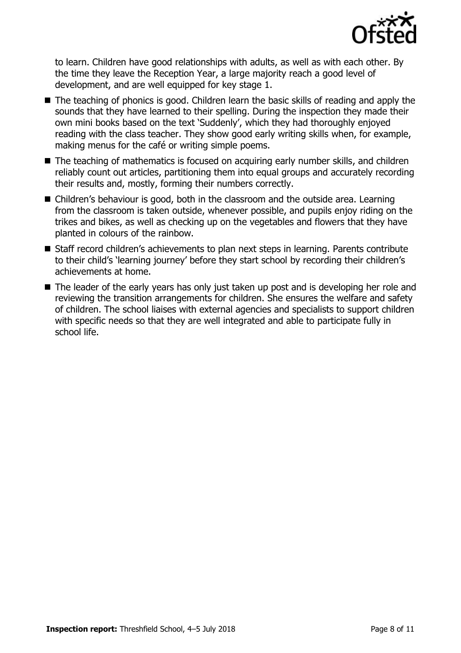

to learn. Children have good relationships with adults, as well as with each other. By the time they leave the Reception Year, a large majority reach a good level of development, and are well equipped for key stage 1.

- The teaching of phonics is good. Children learn the basic skills of reading and apply the sounds that they have learned to their spelling. During the inspection they made their own mini books based on the text 'Suddenly', which they had thoroughly enjoyed reading with the class teacher. They show good early writing skills when, for example, making menus for the café or writing simple poems.
- The teaching of mathematics is focused on acquiring early number skills, and children reliably count out articles, partitioning them into equal groups and accurately recording their results and, mostly, forming their numbers correctly.
- Children's behaviour is good, both in the classroom and the outside area. Learning from the classroom is taken outside, whenever possible, and pupils enjoy riding on the trikes and bikes, as well as checking up on the vegetables and flowers that they have planted in colours of the rainbow.
- Staff record children's achievements to plan next steps in learning. Parents contribute to their child's 'learning journey' before they start school by recording their children's achievements at home.
- The leader of the early years has only just taken up post and is developing her role and reviewing the transition arrangements for children. She ensures the welfare and safety of children. The school liaises with external agencies and specialists to support children with specific needs so that they are well integrated and able to participate fully in school life.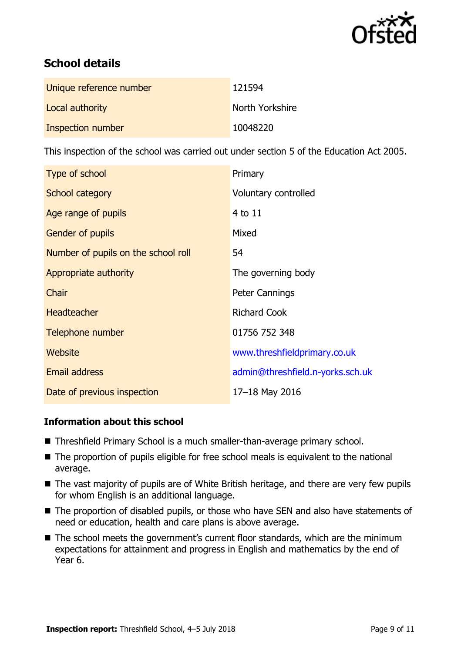

# **School details**

| Unique reference number | 121594          |
|-------------------------|-----------------|
| Local authority         | North Yorkshire |
| Inspection number       | 10048220        |

This inspection of the school was carried out under section 5 of the Education Act 2005.

| Type of school                      | Primary                          |
|-------------------------------------|----------------------------------|
| School category                     | Voluntary controlled             |
| Age range of pupils                 | 4 to 11                          |
| Gender of pupils                    | Mixed                            |
| Number of pupils on the school roll | 54                               |
| Appropriate authority               | The governing body               |
| Chair                               | <b>Peter Cannings</b>            |
| <b>Headteacher</b>                  | <b>Richard Cook</b>              |
| Telephone number                    | 01756 752 348                    |
| <b>Website</b>                      | www.threshfieldprimary.co.uk     |
| <b>Email address</b>                | admin@threshfield.n-yorks.sch.uk |
| Date of previous inspection         | 17-18 May 2016                   |

## **Information about this school**

- Threshfield Primary School is a much smaller-than-average primary school.
- The proportion of pupils eligible for free school meals is equivalent to the national average.
- The vast majority of pupils are of White British heritage, and there are very few pupils for whom English is an additional language.
- The proportion of disabled pupils, or those who have SEN and also have statements of need or education, health and care plans is above average.
- The school meets the government's current floor standards, which are the minimum expectations for attainment and progress in English and mathematics by the end of Year 6.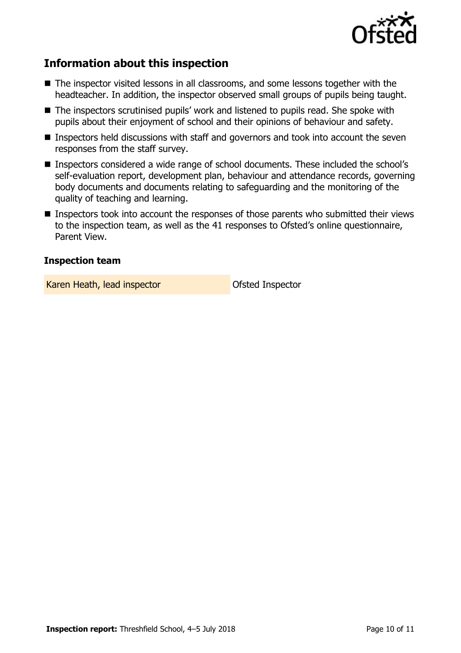

# **Information about this inspection**

- The inspector visited lessons in all classrooms, and some lessons together with the headteacher. In addition, the inspector observed small groups of pupils being taught.
- The inspectors scrutinised pupils' work and listened to pupils read. She spoke with pupils about their enjoyment of school and their opinions of behaviour and safety.
- Inspectors held discussions with staff and governors and took into account the seven responses from the staff survey.
- Inspectors considered a wide range of school documents. These included the school's self-evaluation report, development plan, behaviour and attendance records, governing body documents and documents relating to safeguarding and the monitoring of the quality of teaching and learning.
- Inspectors took into account the responses of those parents who submitted their views to the inspection team, as well as the 41 responses to Ofsted's online questionnaire, Parent View.

### **Inspection team**

Karen Heath, lead inspector **Calculate Control** Ofsted Inspector